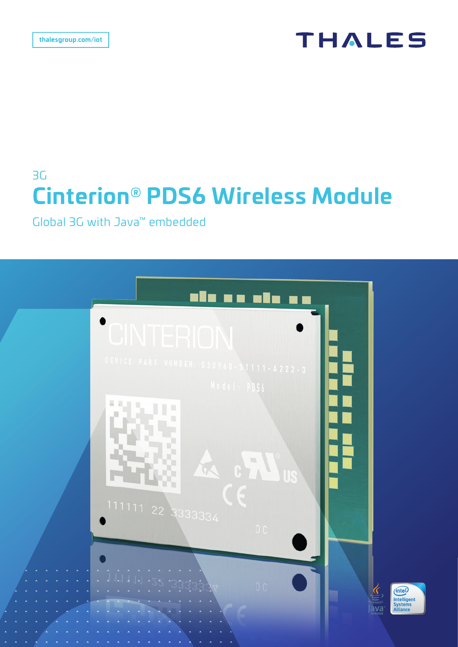# **THALES**

# 3G **Cinterion® PDS6 Wireless Module**

Global 3G with Java™ embedded

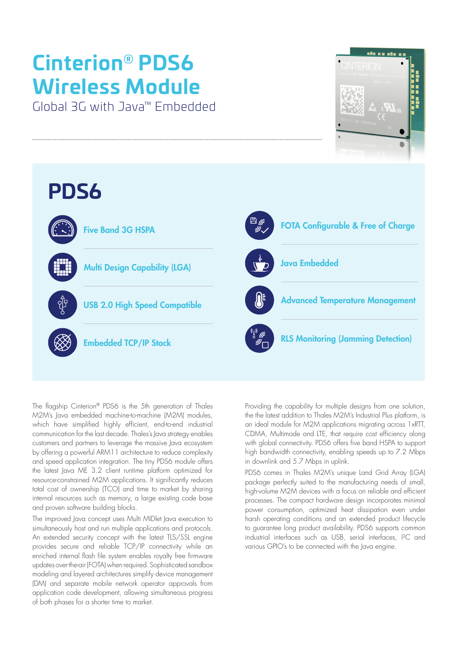# **Cinterion® PDS6 Wireless Module**

Global 3G with Java™ Embedded





The flagship Cinterion® PDS6 is the 5th generation of Thales M2M's Java embedded machine-to-machine (M2M) modules, which have simplified highly efficient, end-to-end industrial communication for the last decade. Thales's Java strategy enables customers and partners to leverage the massive Java ecosystem by offering a powerful ARM11 architecture to reduce complexity and speed application integration. The tiny PDS6 module offers the latest Java ME 3.2 client runtime platform optimized for resource-constrained M2M applications. It significantly reduces total cost of ownership (TCO) and time to market by sharing internal resources such as memory, a large existing code base and proven software building blocks.

The improved Java concept uses Multi MIDlet Java execution to simultaneously host and run multiple applications and protocols. An extended security concept with the latest TLS/SSL engine provides secure and reliable TCP/IP connectivity while an enriched internal flash file system enables royalty free firmware updates over-the-air (FOTA) when required. Sophisticated sandbox modeling and layered architectures simplify device management (DM) and separate mobile network operator approvals from application code development, allowing simultaneous progress of both phases for a shorter time to market.

Providing the capability for multiple designs from one solution, the the latest addition to Thales M2M's Industrial Plus platform, is an ideal module for M2M applications migrating across 1xRTT, CDMA, Multimode and LTE, that require cost efficiency along with global connectivity. PDS6 offers five band HSPA to support high bandwidth connectivity, enabling speeds up to 7.2 Mbps in downlink and 5.7 Mbps in uplink.

PDS6 comes in Thales M2M's unique Land Grid Array (LGA) package perfectly suited to the manufacturing needs of small, high-volume M2M devices with a focus on reliable and efficient processes. The compact hardware design incorporates minimal power consumption, optimized heat dissipation even under harsh operating conditions and an extended product lifecycle to guarantee long product availability. PDS6 supports common industrial interfaces such as USB, serial interfaces, I²C and various GPIO's to be connected with the Java engine.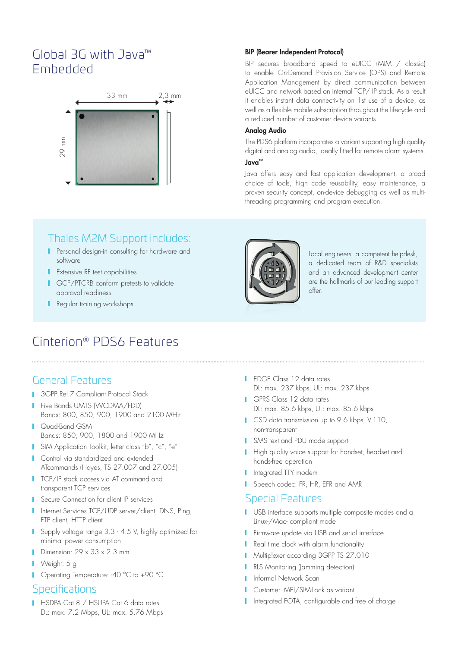# Global 3G with Java™ Embedded



#### BIP (Bearer Independent Protocol)

BIP secures broadband speed to eUICC (MIM / classic) to enable On-Demand Provision Service (OPS) and Remote Application Management by direct communication between eUICC and network based on internal TCP/ IP stack. As a result it enables instant data connectivity on 1st use of a device, as well as a flexible mobile subscription throughout the lifecycle and a reduced number of customer device variants.

#### Analog Audio

The PDS6 platform incorporates a variant supporting high quality digital and analog audio, ideally fitted for remote alarm systems. Java™

Java offers easy and fast application development, a broad choice of tools, high code reusability, easy maintenance, a proven security concept, on-device debugging as well as multithreading programming and program execution.

### Thales M2M Support includes:

- **Personal design-in consulting for hardware and** software
- **I** Extensive RF test capabilities
- **I** GCF/PTCRB conform pretests to validate approval readiness
- **Regular training workshops**

# Cinterion® PDS6 Features

#### General Features

- **3GPP Rel.7 Compliant Protocol Stack**
- **Five Bands UMTS (WCDMA/FDD)** Bands: 800, 850, 900, 1900 and 2100 MHz
- Quad-Band GSM Bands: 850, 900, 1800 and 1900 MHz
- SIM Application Toolkit, letter class "b", "c", "e"
- **I** Control via standardized and extended ATcommands (Hayes, TS 27.007 and 27.005)
- **TCP/IP stack access via AT command and** transparent TCP services
- **Secure Connection for client IP services**
- I Internet Services TCP/UDP server/client, DNS, Ping, FTP client, HTTP client
- Supply voltage range 3.3 4.5 V, highly optimized for minimal power consumption
- Dimension:  $29 \times 33 \times 2.3$  mm
- **Neight:** 5 g
- Operating Temperature: -40 °C to +90 °C

#### **Specifications**

HSDPA Cat.8 / HSUPA Cat.6 data rates DL: max. 7.2 Mbps, UL: max. 5.76 Mbps



Local engineers, a competent helpdesk, a dedicated team of R&D specialists and an advanced development center are the hallmarks of our leading support offer.

- **I** EDGE Class 12 data rates DL: max. 237 kbps, UL: max. 237 kbps
- GPRS Class 12 data rates DL: max. 85.6 kbps, UL: max. 85.6 kbps
- **CSD** data transmission up to 9.6 kbps, V.110, non-transparent
- SMS text and PDU mode support
- **High quality voice support for handset, headset and** hands-free operation
- **I** Integrated TTY modem
- Speech codec: FR, HR, EFR and AMR

#### Special Features

- USB interface supports multiple composite modes and a Linux-/Mac- compliant mode
- **Firmware update via USB and serial interface**
- Real time clock with alarm functionality
- **Multiplexer according 3GPP TS 27.010**
- **RLS Monitoring (Jamming detection)**
- Informal Network Scan
- Customer IMEI/SIM-Lock as variant
- I Integrated FOTA, configurable and free of charge